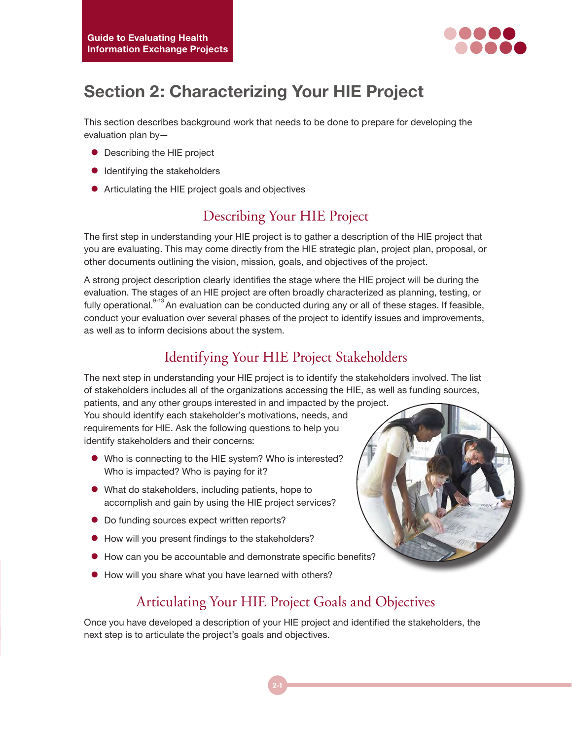

# **Section 2: Characterizing Your HIE Project**

This section describes background work that needs to be done to prepare for developing the evaluation plan by—

- Describing the HIE project
- $\bullet$  Identifying the stakeholders
- Articulating the HIE project goals and objectives

#### Describing Your HIE Project

The first step in understanding your HIE project is to gather a description of the HIE project that you are evaluating. This may come directly from the HIE strategic plan, project plan, proposal, or other documents outlining the vision, mission, goals, and objectives of the project.

A strong project description clearly identifies the stage where the HIE project will be during the evaluation. The stages of an HIE project are often broadly characterized as planning, testing, or fully operational.<sup>9-13</sup> An evaluation can be conducted during any or all of these stages. If feasible, conduct your evaluation over several phases of the project to identify issues and improvements, as well as to inform decisions about the system.

### Identifying Your HIE Project Stakeholders

The next step in understanding your HIE project is to identify the stakeholders involved. The list of stakeholders includes all of the organizations accessing the HIE, as well as funding sources,

patients, and any other groups interested in and impacted by the project. You should identify each stakeholder's motivations, needs, and requirements for HIE. Ask the following questions to help you identify stakeholders and their concerns:

- Who is connecting to the HIE system? Who is interested? Who is impacted? Who is paying for it?
- $\bullet$  What do stakeholders, including patients, hope to accomplish and gain by using the HIE project services?
- $\bullet$  Do funding sources expect written reports?
- $\bullet$  How will you present findings to the stakeholders?
- $\bullet$  How can you be accountable and demonstrate specific benefits?
- How will you share what you have learned with others?

## Articulating Your HIE Project Goals and Objectives

Once you have developed a description of your HIE project and identified the stakeholders, the next step is to articulate the project's goals and objectives.